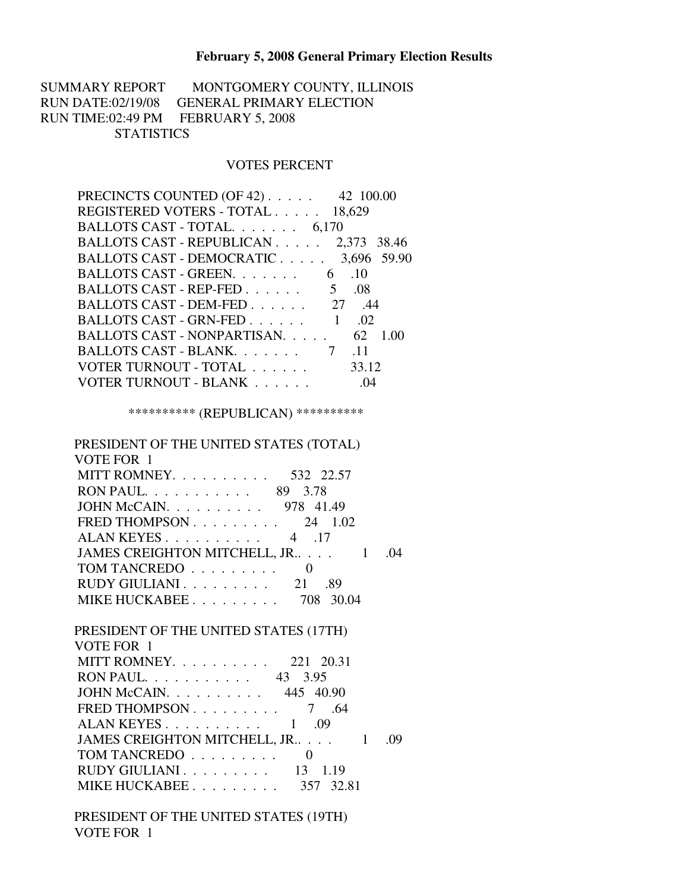## **February 5, 2008 General Primary Election Results**

SUMMARY REPORT MONTGOMERY COUNTY, ILLINOIS RUN DATE:02/19/08 GENERAL PRIMARY ELECTION RUN TIME:02:49 PM FEBRUARY 5, 2008 **STATISTICS** 

## VOTES PERCENT

| PRECINCTS COUNTED (OF 42) 42 100.00                 |            |
|-----------------------------------------------------|------------|
| REGISTERED VOTERS - TOTAL 18,629                    |            |
| BALLOTS CAST - TOTAL. 6,170                         |            |
| BALLOTS CAST - REPUBLICAN 2,373 38.46               |            |
| BALLOTS CAST - DEMOCRATIC 3,696 59.90               |            |
| BALLOTS CAST - GREEN. 6 .10                         |            |
| BALLOTS CAST - REP-FED $\ldots \ldots \ldots$ 5 .08 |            |
| BALLOTS CAST - DEM-FED 27.44                        |            |
| BALLOTS CAST - GRN-FED $1 \quad .02$                |            |
| BALLOTS CAST - NONPARTISAN. 62 1.00                 |            |
|                                                     | $\cdot$ 11 |
| VOTER TURNOUT - TOTAL                               | 33.12      |
| VOTER TURNOUT - BLANK                               | .04        |
|                                                     |            |

\*\*\*\*\*\*\*\*\*\* (REPUBLICAN) \*\*\*\*\*\*\*\*\*\*

| PRESIDENT OF THE UNITED STATES (TOTAL)      |  |
|---------------------------------------------|--|
| VOTE FOR 1                                  |  |
| MITT ROMNEY.<br>532 22.57                   |  |
| RON PAUL 89 3.78                            |  |
| JOHN McCAIN. 978 41.49                      |  |
| FRED THOMPSON $\ldots$ 24 1.02              |  |
| ALAN KEYES $\ldots$ $\ldots$ $\ldots$ 4 .17 |  |
| -04                                         |  |
| TOM TANCREDO                                |  |
| RUDY GIULIANI 21<br>.89                     |  |
| MIKE HUCKABEE 708<br>- 30.04                |  |

| PRESIDENT OF THE UNITED STATES (17TH)                          |       |
|----------------------------------------------------------------|-------|
| VOTE FOR 1                                                     |       |
| MITT ROMNEY. 221 20.31                                         |       |
| RON PAUL 43 3.95                                               |       |
| JOHN McCAIN. $\ldots$ 445 40.90                                |       |
| FRED THOMPSON $\ldots \ldots \ldots$ 7<br>.64                  |       |
| ALAN KEYES $\ldots$ $\ldots$ $\ldots$ $\ldots$ $\ldots$<br>.09 |       |
| JAMES CREIGHTON MITCHELL, JR                                   | - (19 |
| TOM TANCREDO                                                   |       |
| RUDY GIULIANI 13<br>1.19                                       |       |
| MIKE HUCKABEE 357 32.81                                        |       |

 PRESIDENT OF THE UNITED STATES (19TH) VOTE FOR 1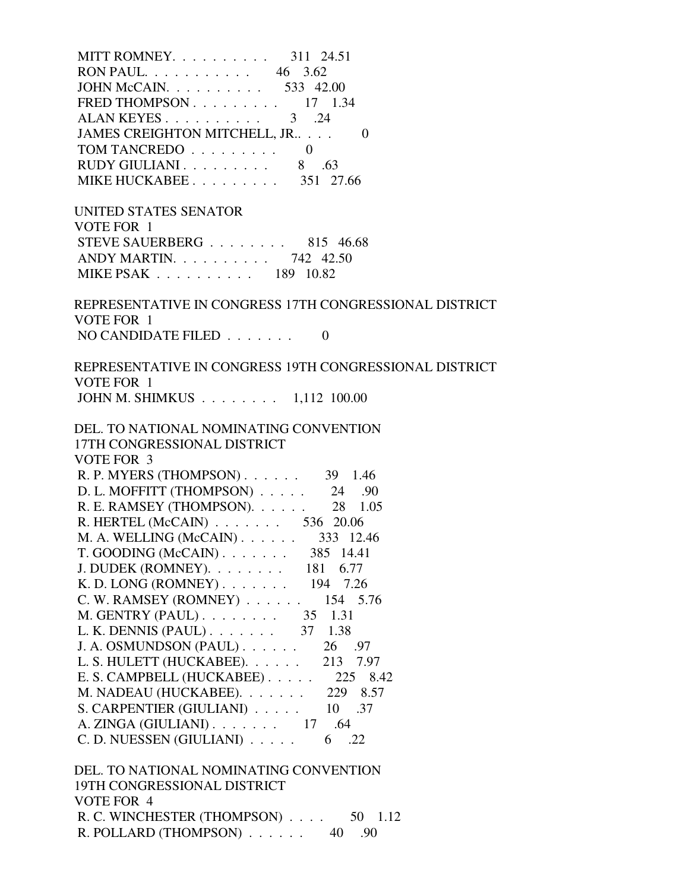| MITT ROMNEY. 311 24.51                                                                                                                                                                                                                                                                                                                                                                                                                                                                        |  |
|-----------------------------------------------------------------------------------------------------------------------------------------------------------------------------------------------------------------------------------------------------------------------------------------------------------------------------------------------------------------------------------------------------------------------------------------------------------------------------------------------|--|
| RON PAUL 46 3.62                                                                                                                                                                                                                                                                                                                                                                                                                                                                              |  |
| JOHN McCAIN. 533 42.00                                                                                                                                                                                                                                                                                                                                                                                                                                                                        |  |
| FRED THOMPSON $\ldots$ 17 1.34                                                                                                                                                                                                                                                                                                                                                                                                                                                                |  |
| ALAN KEYES 3 .24                                                                                                                                                                                                                                                                                                                                                                                                                                                                              |  |
| JAMES CREIGHTON MITCHELL, JR<br>$\theta$                                                                                                                                                                                                                                                                                                                                                                                                                                                      |  |
| TOM TANCREDO $\ldots \ldots \ldots$                                                                                                                                                                                                                                                                                                                                                                                                                                                           |  |
| RUDY GIULIANI 8 .63                                                                                                                                                                                                                                                                                                                                                                                                                                                                           |  |
| MIKE HUCKABEE 351 27.66                                                                                                                                                                                                                                                                                                                                                                                                                                                                       |  |
| UNITED STATES SENATOR                                                                                                                                                                                                                                                                                                                                                                                                                                                                         |  |
| VOTE FOR 1                                                                                                                                                                                                                                                                                                                                                                                                                                                                                    |  |
| STEVE SAUERBERG 815 46.68                                                                                                                                                                                                                                                                                                                                                                                                                                                                     |  |
| ANDY MARTIN. 742 42.50                                                                                                                                                                                                                                                                                                                                                                                                                                                                        |  |
| MIKE PSAK 189 10.82                                                                                                                                                                                                                                                                                                                                                                                                                                                                           |  |
| REPRESENTATIVE IN CONGRESS 17TH CONGRESSIONAL DISTRICT                                                                                                                                                                                                                                                                                                                                                                                                                                        |  |
| VOTE FOR 1                                                                                                                                                                                                                                                                                                                                                                                                                                                                                    |  |
| NO CANDIDATE FILED $\ldots \ldots$<br>$\Omega$                                                                                                                                                                                                                                                                                                                                                                                                                                                |  |
| REPRESENTATIVE IN CONGRESS 19TH CONGRESSIONAL DISTRICT                                                                                                                                                                                                                                                                                                                                                                                                                                        |  |
| VOTE FOR 1                                                                                                                                                                                                                                                                                                                                                                                                                                                                                    |  |
| JOHN M. SHIMKUS 1,112 100.00                                                                                                                                                                                                                                                                                                                                                                                                                                                                  |  |
| DEL. TO NATIONAL NOMINATING CONVENTION<br>17TH CONGRESSIONAL DISTRICT<br><b>VOTE FOR 3</b>                                                                                                                                                                                                                                                                                                                                                                                                    |  |
| R. P. MYERS (THOMPSON) 39 1.46<br>D. L. MOFFITT (THOMPSON) 24 .90<br>R. E. RAMSEY (THOMPSON). 28 1.05<br>R. HERTEL (McCAIN) $\ldots$ 536 20.06<br>M. A. WELLING (McCAIN) 333 12.46<br>$T. GOODING (McCAIN) 385 14.41$<br>J. DUDEK (ROMNEY). $\ldots \ldots \ldots$ 181 6.77<br>K.D. LONG (ROMNEY) 194 7.26<br>C. W. RAMSEY (ROMNEY) 154 5.76<br>M. GENTRY (PAUL). $\ldots$ 35 1.31<br>L. K. DENNIS (PAUL) 37 1.38<br>J. A. OSMUNDSON (PAUL)<br>26 .97<br>L. S. HULETT (HUCKABEE).<br>213 7.97 |  |
| E. S. CAMPBELL (HUCKABEE) $\ldots$ 225 8.42                                                                                                                                                                                                                                                                                                                                                                                                                                                   |  |
| M. NADEAU (HUCKABEE).<br>229 8.57                                                                                                                                                                                                                                                                                                                                                                                                                                                             |  |
| S. CARPENTIER (GIULIANI) 10 .37                                                                                                                                                                                                                                                                                                                                                                                                                                                               |  |
| A. ZINGA (GIULIANI). $\ldots$ 17 .64<br>C. D. NUESSEN (GIULIANI)<br>6 .22                                                                                                                                                                                                                                                                                                                                                                                                                     |  |

R. C. WINCHESTER (THOMPSON) . . . . 50 1.12 R. POLLARD (THOMPSON) . . . . . . 40 .90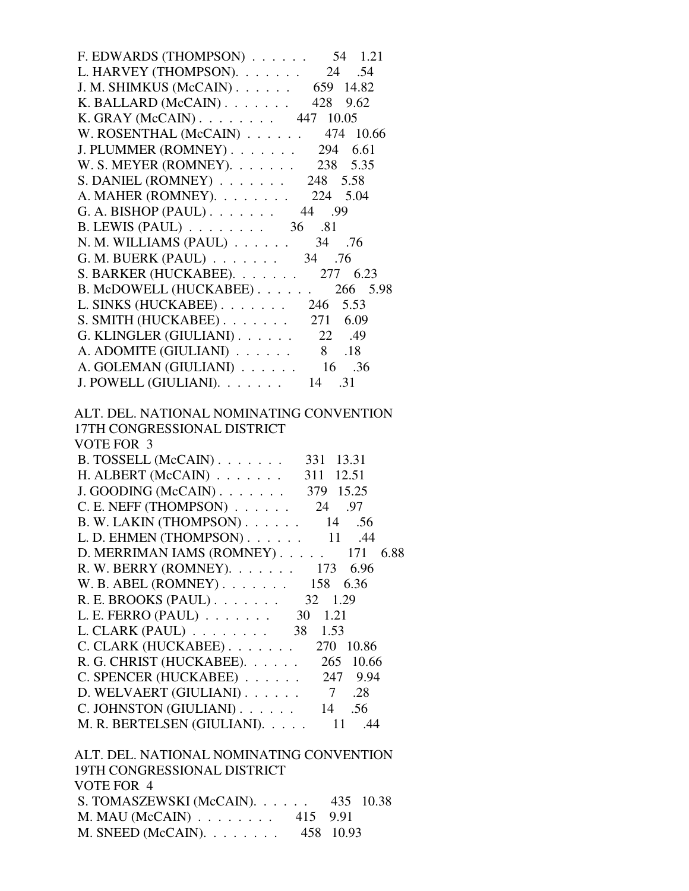| F. EDWARDS (THOMPSON) $\ldots$ 54 1.21                                                                                                                 |
|--------------------------------------------------------------------------------------------------------------------------------------------------------|
| L. HARVEY (THOMPSON). $\ldots$ 24 .54                                                                                                                  |
| J. M. SHIMKUS (McCAIN) 659 14.82                                                                                                                       |
| K. BALLARD (McCAIN) $\ldots$ 428 9.62                                                                                                                  |
| K. GRAY (McCAIN) 447 10.05                                                                                                                             |
| W. ROSENTHAL (McCAIN) $\ldots$ 474 10.66                                                                                                               |
| J. PLUMMER (ROMNEY) 294 6.61                                                                                                                           |
| W. S. MEYER (ROMNEY). 238 5.35                                                                                                                         |
| S. DANIEL (ROMNEY) $\ldots$ 248 5.58                                                                                                                   |
| A. MAHER (ROMNEY). 224 5.04                                                                                                                            |
| G. A. BISHOP (PAUL) 44 .99                                                                                                                             |
| B. LEWIS (PAUL) 36 .81                                                                                                                                 |
|                                                                                                                                                        |
| N. M. WILLIAMS (PAUL) 34 .76<br>G. M. BUERK (PAUL) 34 .76                                                                                              |
|                                                                                                                                                        |
| S. BARKER (HUCKABEE). 277 6.23                                                                                                                         |
| B. McDOWELL (HUCKABEE). 266 5.98                                                                                                                       |
| L. SINKS (HUCKABEE). 246 5.53                                                                                                                          |
| S. SMITH (HUCKABEE). 271 6.09                                                                                                                          |
| G. KLINGLER (GIULIANI) $\ldots$ 22 .49                                                                                                                 |
| A. ADOMITE (GIULIANI) $\ldots$ 8 .18                                                                                                                   |
| A. GOLEMAN (GIULIANI) $\ldots$ 16 .36                                                                                                                  |
| J. POWELL (GIULIANI). $\ldots$ 14 .31                                                                                                                  |
| ALT. DEL. NATIONAL NOMINATING CONVENTION<br>17TH CONGRESSIONAL DISTRICT<br>VOTE FOR 3<br>B. TOSSELL (McCAIN) 331 13.31<br>H. ALBERT (McCAIN) 311 12.51 |
|                                                                                                                                                        |
| J. GOODING (McCAIN) $\ldots$ 379 15.25                                                                                                                 |
| C. E. NEFF (THOMPSON) $\ldots$ 24 .97                                                                                                                  |
| B. W. LAKIN (THOMPSON) 14 .56                                                                                                                          |
| L. D. EHMEN (THOMPSON) 11 .44                                                                                                                          |
| D. MERRIMAN IAMS (ROMNEY) 171 6.88                                                                                                                     |
| R. W. BERRY (ROMNEY). 173 6.96                                                                                                                         |
| W. B. ABEL (ROMNEY) $\ldots$ $\ldots$ 158<br>6.36                                                                                                      |
| R. E. BROOKS (PAUL) 32 1.29                                                                                                                            |
| L. E. FERRO $(PAUL)$ 30<br>1.21                                                                                                                        |
| $L. CLARK (PAUL) 38$<br>1.53                                                                                                                           |
| C. CLARK (HUCKABEE)<br>270 10.86                                                                                                                       |
| R. G. CHRIST (HUCKABEE).<br>265 10.66                                                                                                                  |
| C. SPENCER (HUCKABEE)<br>247 9.94                                                                                                                      |
| D. WELVAERT (GIULIANI)<br>.28<br>$\overline{7}$                                                                                                        |
| C. JOHNSTON (GIULIANI).<br>.56<br>14                                                                                                                   |
| M. R. BERTELSEN (GIULIANI).<br>.44<br>11                                                                                                               |
| ALT. DEL. NATIONAL NOMINATING CONVENTION<br>19TH CONGRESSIONAL DISTRICT<br>VOTE FOR 4                                                                  |

| .                                               |  |  |
|-------------------------------------------------|--|--|
| S. TOMASZEWSKI (McCAIN). $\ldots$ 435 10.38     |  |  |
| M. MAU (McCAIN) $\ldots \ldots \ldots$ 415 9.91 |  |  |
| M. SNEED (McCAIN). $\ldots$ 458 10.93           |  |  |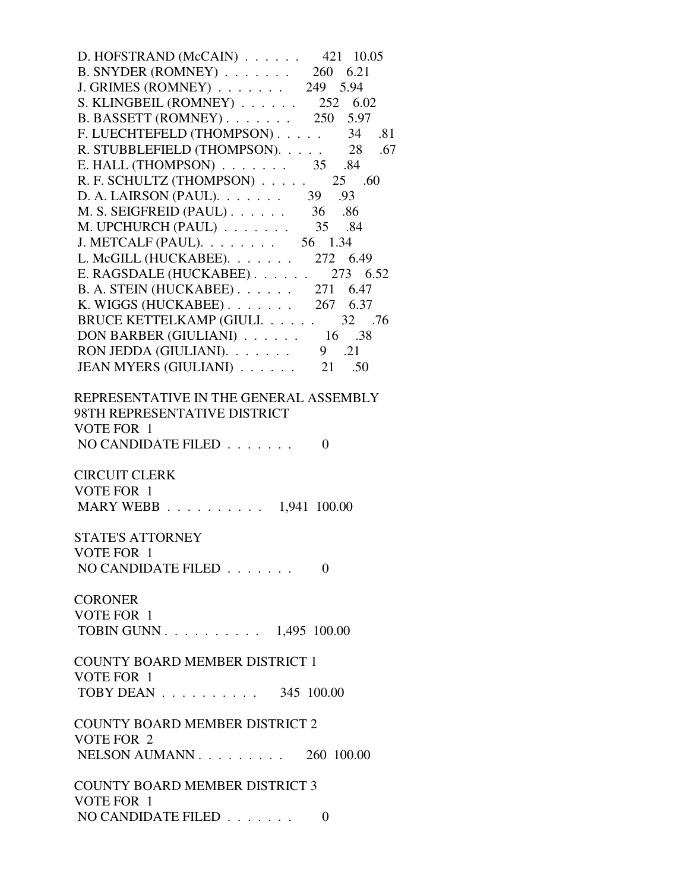| D. HOFSTRAND (McCAIN) $\ldots$ 421 10.05                                     |  |
|------------------------------------------------------------------------------|--|
| B. SNYDER (ROMNEY) $\ldots$ 260 6.21                                         |  |
| J. GRIMES (ROMNEY) 249 5.94                                                  |  |
| S. KLINGBEIL (ROMNEY) $\ldots$ 252 6.02                                      |  |
| B. BASSETT (ROMNEY) $\ldots$ 250 5.97                                        |  |
| F. LUECHTEFELD (THOMPSON) 34 .81                                             |  |
|                                                                              |  |
| R. STUBBLEFIELD (THOMPSON). $\ldots$ 28 .67                                  |  |
| E. HALL (THOMPSON) $\ldots$ 35 .84                                           |  |
| R. F. SCHULTZ (THOMPSON) $\ldots$ . 25 .60                                   |  |
| D. A. LAIRSON (PAUL). 39 .93                                                 |  |
| M. S. SEIGFREID (PAUL) 36 .86                                                |  |
| M. UPCHURCH (PAUL) $\ldots \ldots \ldots$ 35 .84                             |  |
| J. METCALF (PAUL). $\ldots$ 56 1.34                                          |  |
| L. McGILL (HUCKABEE). 272 6.49                                               |  |
| E. RAGSDALE (HUCKABEE). $\ldots$ . 273 6.52                                  |  |
| B. A. STEIN (HUCKABEE). 271 6.47                                             |  |
| K. WIGGS (HUCKABEE) 267 6.37                                                 |  |
| <b>BRUCE KETTELKAMP (GIULI. 32 .76</b>                                       |  |
| DON BARBER (GIULIANI) $\ldots$ 16 .38                                        |  |
| RON JEDDA (GIULIANI). $\ldots \ldots$ 9 .21                                  |  |
| JEAN MYERS (GIULIANI) $\ldots$ 21 .50                                        |  |
|                                                                              |  |
| 98TH REPRESENTATIVE DISTRICT<br>VOTE FOR 1<br>NO CANDIDATE FILED<br>$\Omega$ |  |
| <b>CIRCUIT CLERK</b>                                                         |  |
| VOTE FOR 1                                                                   |  |
| MARY WEBB 1,941 100.00                                                       |  |
|                                                                              |  |
| <b>STATE'S ATTORNEY</b>                                                      |  |
|                                                                              |  |
| VOTE FOR 1<br>NO CANDIDATE FILED                                             |  |
| $\Omega$                                                                     |  |
|                                                                              |  |
| <b>CORONER</b>                                                               |  |
| VOTE FOR 1                                                                   |  |
| TOBIN GUNN 1,495 100.00                                                      |  |
|                                                                              |  |
| <b>COUNTY BOARD MEMBER DISTRICT 1</b>                                        |  |
| VOTE FOR 1                                                                   |  |
| TOBY DEAN $\ldots \ldots \ldots \ldots$ 345 100.00                           |  |
|                                                                              |  |
| <b>COUNTY BOARD MEMBER DISTRICT 2</b>                                        |  |
| VOTE FOR 2                                                                   |  |
| NELSON AUMANN $\ldots$ $\ldots$ $\ldots$ 260 100.00                          |  |
|                                                                              |  |
| <b>COUNTY BOARD MEMBER DISTRICT 3</b>                                        |  |
| VOTE FOR 1                                                                   |  |
| NO CANDIDATE FILED $\ldots \ldots$<br>$\Omega$                               |  |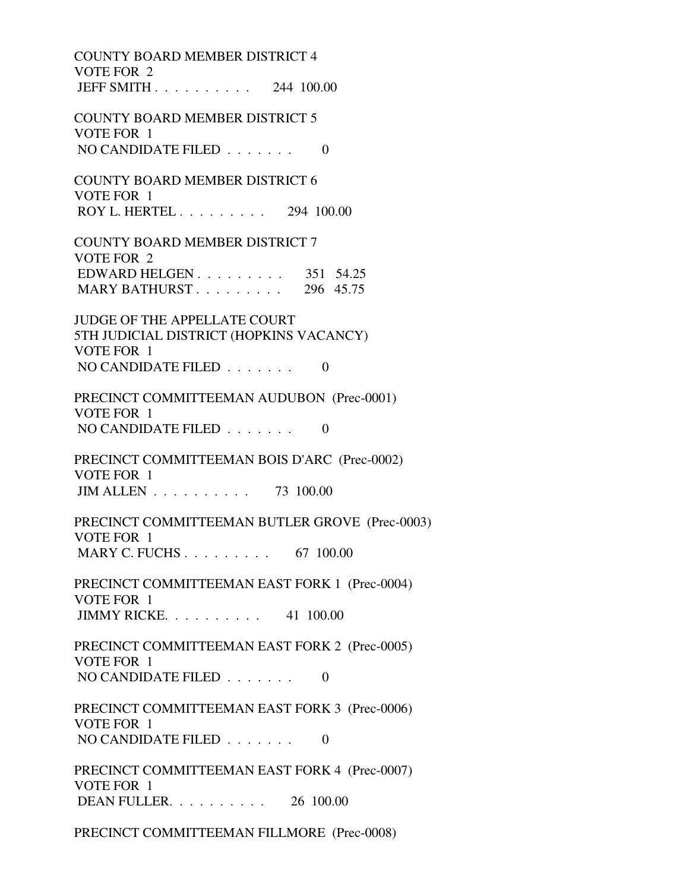COUNTY BOARD MEMBER DISTRICT 4 VOTE FOR 2 JEFF SMITH . . . . . . . . . . 244 100.00 COUNTY BOARD MEMBER DISTRICT 5 VOTE FOR 1 NO CANDIDATE FILED  $\ldots$ , . . . . 0 COUNTY BOARD MEMBER DISTRICT 6 VOTE FOR 1 ROY L. HERTEL . . . . . . . . . 294 100.00 COUNTY BOARD MEMBER DISTRICT 7 VOTE FOR 2 EDWARD HELGEN . . . . . . . . . 351 54.25 MARY BATHURST . . . . . . . . . 296 45.75 JUDGE OF THE APPELLATE COURT 5TH JUDICIAL DISTRICT (HOPKINS VACANCY) VOTE FOR 1 NO CANDIDATE FILED  $\ldots \ldots$  0 PRECINCT COMMITTEEMAN AUDUBON (Prec-0001) VOTE FOR 1 NO CANDIDATE FILED  $\ldots \ldots \ldots$  PRECINCT COMMITTEEMAN BOIS D'ARC (Prec-0002) VOTE FOR 1 JIM ALLEN . . . . . . . . . . 73 100.00 PRECINCT COMMITTEEMAN BUTLER GROVE (Prec-0003) VOTE FOR 1 MARY C. FUCHS . . . . . . . . . . 67 100.00 PRECINCT COMMITTEEMAN EAST FORK 1 (Prec-0004) VOTE FOR 1 JIMMY RICKE. . . . . . . . . . 41 100.00 PRECINCT COMMITTEEMAN EAST FORK 2 (Prec-0005) VOTE FOR 1 NO CANDIDATE FILED  $\ldots \ldots$  0 PRECINCT COMMITTEEMAN EAST FORK 3 (Prec-0006) VOTE FOR 1 NO CANDIDATE FILED  $\ldots \ldots$  0 PRECINCT COMMITTEEMAN EAST FORK 4 (Prec-0007) VOTE FOR 1 DEAN FULLER. . . . . . . . . . 26 100.00

PRECINCT COMMITTEEMAN FILLMORE (Prec-0008)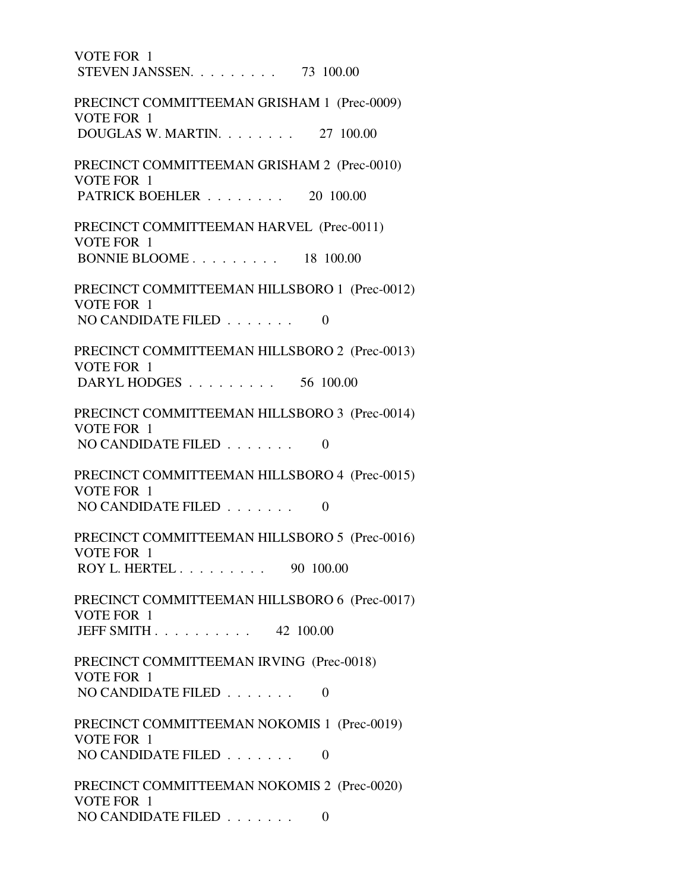VOTE FOR 1 STEVEN JANSSEN. . . . . . . . . 73 100.00 PRECINCT COMMITTEEMAN GRISHAM 1 (Prec-0009) VOTE FOR 1 DOUGLAS W. MARTIN. . . . . . . . 27 100.00 PRECINCT COMMITTEEMAN GRISHAM 2 (Prec-0010) VOTE FOR 1 PATRICK BOEHLER . . . . . . . . 20 100.00 PRECINCT COMMITTEEMAN HARVEL (Prec-0011) VOTE FOR 1 BONNIE BLOOME . . . . . . . . . 18 100.00 PRECINCT COMMITTEEMAN HILLSBORO 1 (Prec-0012) VOTE FOR 1 NO CANDIDATE FILED  $\ldots \ldots$  0 PRECINCT COMMITTEEMAN HILLSBORO 2 (Prec-0013) VOTE FOR 1 DARYL HODGES . . . . . . . . . 56 100.00 PRECINCT COMMITTEEMAN HILLSBORO 3 (Prec-0014) VOTE FOR 1 NO CANDIDATE FILED . . . . . . . 0 PRECINCT COMMITTEEMAN HILLSBORO 4 (Prec-0015) VOTE FOR 1 NO CANDIDATE FILED  $\ldots \ldots \ldots$  0 PRECINCT COMMITTEEMAN HILLSBORO 5 (Prec-0016) VOTE FOR 1 ROY L. HERTEL . . . . . . . . . 90 100.00 PRECINCT COMMITTEEMAN HILLSBORO 6 (Prec-0017) VOTE FOR 1 JEFF SMITH . . . . . . . . . . 42 100.00 PRECINCT COMMITTEEMAN IRVING (Prec-0018) VOTE FOR 1 NO CANDIDATE FILED  $\ldots$ , . . . . 0 PRECINCT COMMITTEEMAN NOKOMIS 1 (Prec-0019) VOTE FOR 1 NO CANDIDATE FILED  $\ldots \ldots$  0 PRECINCT COMMITTEEMAN NOKOMIS 2 (Prec-0020) VOTE FOR 1 NO CANDIDATE FILED . . . . . . . 0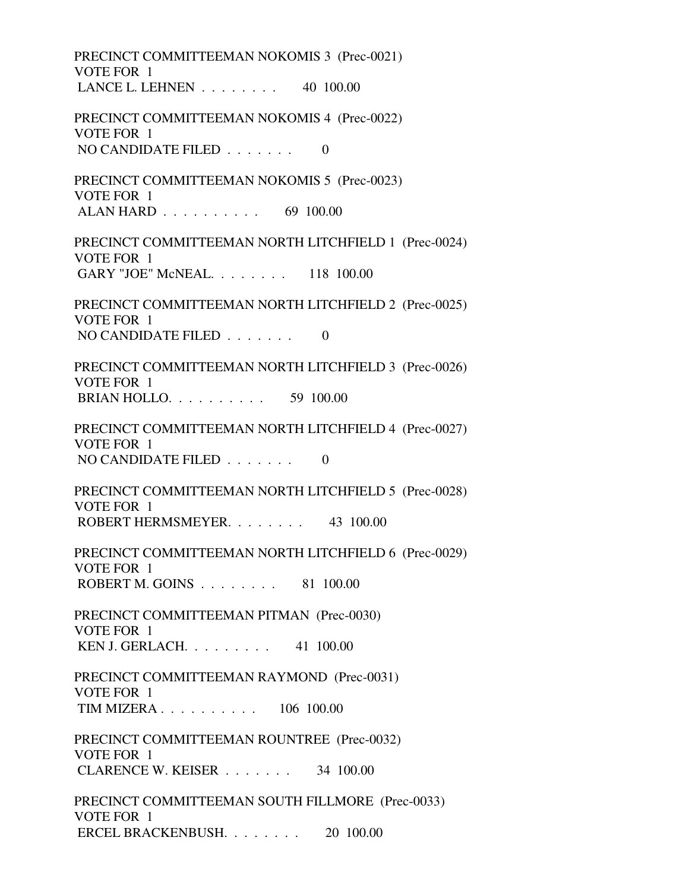PRECINCT COMMITTEEMAN NOKOMIS 3 (Prec-0021) VOTE FOR 1 LANCE L. LEHNEN . . . . . . . . 40 100.00 PRECINCT COMMITTEEMAN NOKOMIS 4 (Prec-0022) VOTE FOR 1 NO CANDIDATE FILED  $\ldots$ , . . . . . 0 PRECINCT COMMITTEEMAN NOKOMIS 5 (Prec-0023) VOTE FOR 1 ALAN HARD . . . . . . . . . . 69 100.00 PRECINCT COMMITTEEMAN NORTH LITCHFIELD 1 (Prec-0024) VOTE FOR 1 GARY "JOE" McNEAL. . . . . . . . 118 100.00 PRECINCT COMMITTEEMAN NORTH LITCHFIELD 2 (Prec-0025) VOTE FOR 1 NO CANDIDATE FILED  $\ldots \ldots$  0 PRECINCT COMMITTEEMAN NORTH LITCHFIELD 3 (Prec-0026) VOTE FOR 1 BRIAN HOLLO. . . . . . . . . . 59 100.00 PRECINCT COMMITTEEMAN NORTH LITCHFIELD 4 (Prec-0027) VOTE FOR 1 NO CANDIDATE FILED  $\ldots$ , . . . . . 0 PRECINCT COMMITTEEMAN NORTH LITCHFIELD 5 (Prec-0028) VOTE FOR 1 ROBERT HERMSMEYER. . . . . . . . 43 100.00 PRECINCT COMMITTEEMAN NORTH LITCHFIELD 6 (Prec-0029) VOTE FOR 1 ROBERT M. GOINS . . . . . . . . 81 100.00 PRECINCT COMMITTEEMAN PITMAN (Prec-0030) VOTE FOR 1 KEN J. GERLACH. . . . . . . . . 41 100.00 PRECINCT COMMITTEEMAN RAYMOND (Prec-0031) VOTE FOR 1 TIM MIZERA . . . . . . . . . . 106 100.00 PRECINCT COMMITTEEMAN ROUNTREE (Prec-0032) VOTE FOR 1 CLARENCE W. KEISER . . . . . . . 34 100.00 PRECINCT COMMITTEEMAN SOUTH FILLMORE (Prec-0033) VOTE FOR 1 ERCEL BRACKENBUSH. . . . . . . . 20 100.00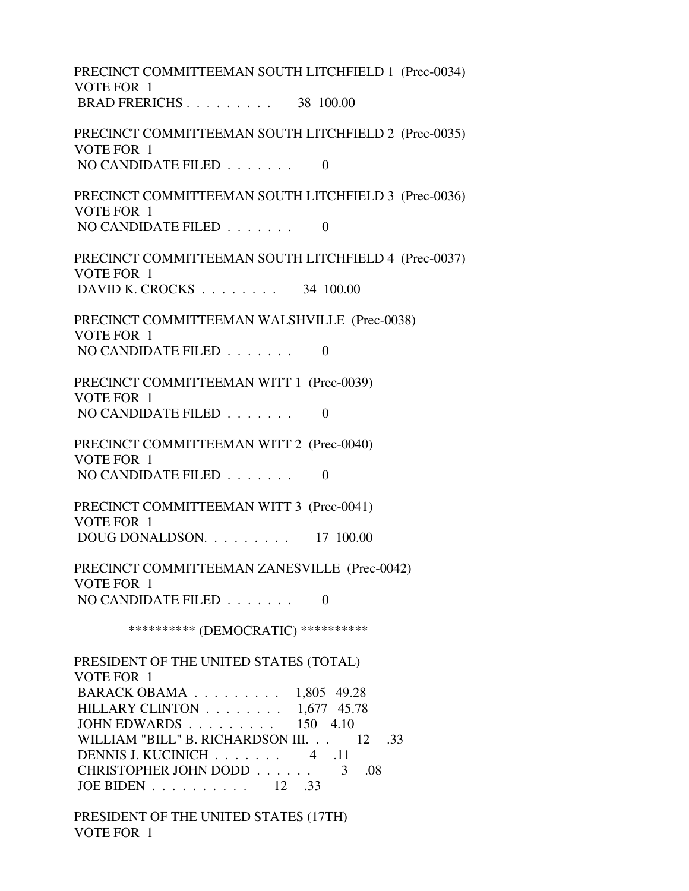PRECINCT COMMITTEEMAN SOUTH LITCHFIELD 1 (Prec-0034) VOTE FOR 1 BRAD FRERICHS . . . . . . . . . 38 100.00 PRECINCT COMMITTEEMAN SOUTH LITCHFIELD 2 (Prec-0035) VOTE FOR 1 NO CANDIDATE FILED  $\ldots \ldots$  0 PRECINCT COMMITTEEMAN SOUTH LITCHFIELD 3 (Prec-0036) VOTE FOR 1 NO CANDIDATE FILED  $\ldots \ldots$  0 PRECINCT COMMITTEEMAN SOUTH LITCHFIELD 4 (Prec-0037) VOTE FOR 1 DAVID K. CROCKS . . . . . . . . 34 100.00 PRECINCT COMMITTEEMAN WALSHVILLE (Prec-0038) VOTE FOR 1 NO CANDIDATE FILED  $\ldots \ldots \ldots$  0 PRECINCT COMMITTEEMAN WITT 1 (Prec-0039) VOTE FOR 1 NO CANDIDATE FILED  $\ldots \ldots$  0 PRECINCT COMMITTEEMAN WITT 2 (Prec-0040) VOTE FOR 1 NO CANDIDATE FILED  $\ldots \ldots$  0 PRECINCT COMMITTEEMAN WITT 3 (Prec-0041) VOTE FOR 1 DOUG DONALDSON. . . . . . . . . 17 100.00 PRECINCT COMMITTEEMAN ZANESVILLE (Prec-0042) VOTE FOR 1 NO CANDIDATE FILED  $\ldots \ldots$  0 \*\*\*\*\*\*\*\*\*\* (DEMOCRATIC) \*\*\*\*\*\*\*\*\*\* PRESIDENT OF THE UNITED STATES (TOTAL) VOTE FOR 1 BARACK OBAMA . . . . . . . . . 1,805 49.28 HILLARY CLINTON . . . . . . . . 1,677 45.78 JOHN EDWARDS . . . . . . . . . 150 4.10 WILLIAM "BILL" B. RICHARDSON III. . . 12 .33 DENNIS J. KUCINICH . . . . . . . 4 .11 CHRISTOPHER JOHN DODD . . . . . . 3 .08 JOE BIDEN . . . . . . . . . . 12 .33

 PRESIDENT OF THE UNITED STATES (17TH) VOTE FOR 1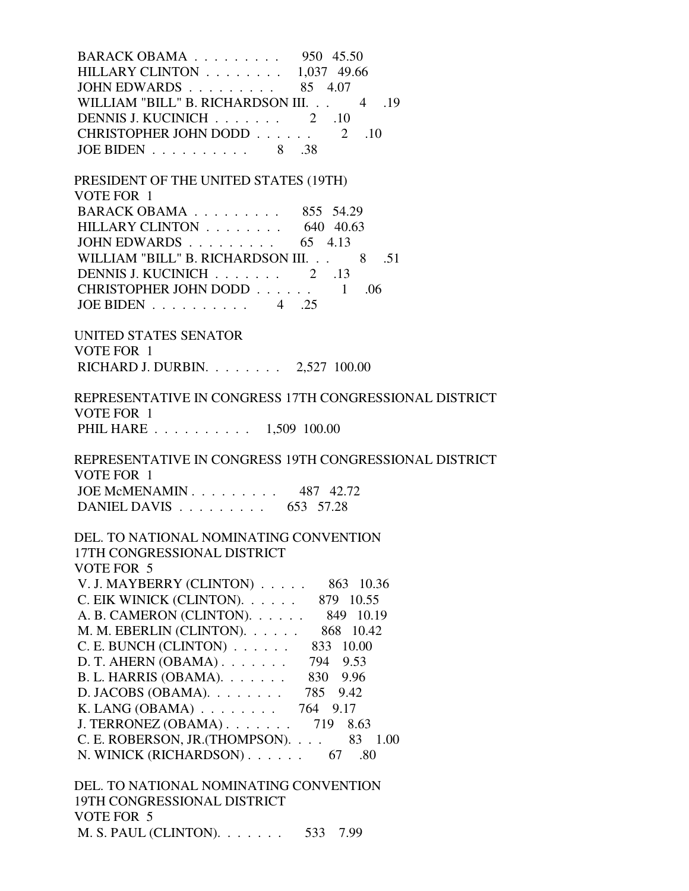| BARACK OBAMA 950 45.50                             |  |  |
|----------------------------------------------------|--|--|
| HILLARY CLINTON $\ldots \ldots \ldots$ 1,037 49.66 |  |  |
| JOHN EDWARDS $\ldots \ldots \ldots \ldots$ 85 4.07 |  |  |
| WILLIAM "BILL" B. RICHARDSON III. 4 .19            |  |  |
| DENNIS J. KUCINICH $\ldots \ldots \ldots$ 2 .10    |  |  |
| CHRISTOPHER JOHN DODD 2 .10                        |  |  |
| JOE BIDEN $\ldots \ldots \ldots \ldots$ 8          |  |  |

| PRESIDENT OF THE UNITED STATES (19TH)            |         |     |      |
|--------------------------------------------------|---------|-----|------|
| VOTE FOR 1                                       |         |     |      |
| BARACK OBAMA 855 54.29                           |         |     |      |
| HILLARY CLINTON $\ldots \ldots \ldots$ 640 40.63 |         |     |      |
| JOHN EDWARDS                                     | 65 4.13 |     |      |
| WILLIAM "BILL" B. RICHARDSON III.                |         |     | 8 51 |
| DENNIS J. KUCINICH 2 .13                         |         |     |      |
| CHRISTOPHER JOHN DODD 1                          |         | -06 |      |
| JOE BIDEN $\ldots \ldots \ldots$                 |         |     |      |

 UNITED STATES SENATOR VOTE FOR 1 RICHARD J. DURBIN. . . . . . . . 2,527 100.00

 REPRESENTATIVE IN CONGRESS 17TH CONGRESSIONAL DISTRICT VOTE FOR 1 PHIL HARE . . . . . . . . . . 1,509 100.00

 REPRESENTATIVE IN CONGRESS 19TH CONGRESSIONAL DISTRICT VOTE FOR 1 JOE McMENAMIN . . . . . . . . . 487 42.72 DANIEL DAVIS . . . . . . . . . . 653 57.28

 DEL. TO NATIONAL NOMINATING CONVENTION 17TH CONGRESSIONAL DISTRICT VOTE FOR 5 V. J. MAYBERRY (CLINTON) . . . . . 863 10.36 C. EIK WINICK (CLINTON). . . . . . 879 10.55 A. B. CAMERON (CLINTON). . . . . . 849 10.19 M. M. EBERLIN (CLINTON). . . . . . 868 10.42 C. E. BUNCH (CLINTON) . . . . . . 833 10.00 D. T. AHERN (OBAMA) . . . . . . . 794 9.53 B. L. HARRIS (OBAMA). . . . . . . 830 9.96 D. JACOBS (OBAMA). . . . . . . . 785 9.42 K. LANG (OBAMA) . . . . . . . . 764 9.17 J. TERRONEZ (OBAMA) . . . . . . . 719 8.63 C. E. ROBERSON, JR.(THOMPSON). . . . 83 1.00 N. WINICK (RICHARDSON) . . . . . . . 67 .80

 DEL. TO NATIONAL NOMINATING CONVENTION 19TH CONGRESSIONAL DISTRICT VOTE FOR 5 M. S. PAUL (CLINTON). . . . . . . 533 7.99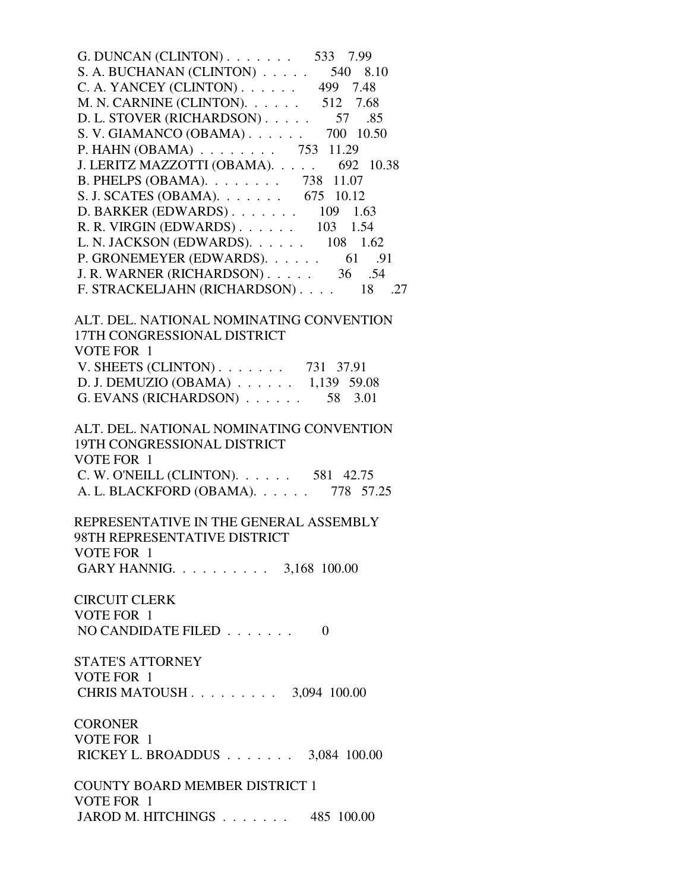| G. DUNCAN (CLINTON). $\ldots$ 533 7.99     |
|--------------------------------------------|
| S. A. BUCHANAN (CLINTON) $\ldots$ 540 8.10 |
| C. A. YANCEY (CLINTON) 499 7.48            |
| M. N. CARNINE (CLINTON). $\ldots$ 512 7.68 |
| D. L. STOVER (RICHARDSON) 57<br>.85        |
| S. V. GIAMANCO (OBAMA) 700 10.50           |
| P. HAHN (OBAMA) 753 11.29                  |
| J. LERITZ MAZZOTTI (OBAMA). 692 10.38      |
| B. PHELPS (OBAMA). 738 11.07               |
| S. J. SCATES (OBAMA). 675 10.12            |
| D. BARKER (EDWARDS) $\ldots$ 109 1.63      |
| R. R. VIRGIN (EDWARDS) 103 1.54            |
| L. N. JACKSON (EDWARDS). 108 1.62          |
| P. GRONEMEYER (EDWARDS). 61 .91            |
| J. R. WARNER (RICHARDSON) 36 .54           |
| F. STRACKELJAHN (RICHARDSON) 18 .27        |
|                                            |
| ALT. DEL. NATIONAL NOMINATING CONVENTION   |
| 17TH CONGRESSIONAL DISTRICT                |
| VOTE FOR 1                                 |
| V. SHEETS (CLINTON) 731 37.91              |
| D. J. DEMUZIO (OBAMA) 1,139 59.08          |
| G. EVANS (RICHARDSON)<br>58 3.01           |
|                                            |
| ALT. DEL. NATIONAL NOMINATING CONVENTION   |
| 19TH CONGRESSIONAL DISTRICT                |
| VOTE FOR 1                                 |
| C. W. O'NEILL (CLINTON). 581 42.75         |
| A. L. BLACKFORD (OBAMA). 778 57.25         |
|                                            |
| REPRESENTATIVE IN THE GENERAL ASSEMBLY     |
| 98TH REPRESENTATIVE DISTRICT               |
| VOTE FOR 1                                 |
| GARY HANNIG. 3,168 100.00                  |
|                                            |
| <b>CIRCUIT CLERK</b>                       |
| VOTE FOR 1                                 |
| NO CANDIDATE FILED $\ldots$<br>$\Omega$    |
|                                            |
| <b>CTATE'S ATTODMEV</b>                    |

 STATE'S ATTORNEY VOTE FOR 1 CHRIS MATOUSH . . . . . . . . . 3,094 100.00

 CORONER VOTE FOR 1 RICKEY L. BROADDUS . . . . . . . 3,084 100.00

 COUNTY BOARD MEMBER DISTRICT 1 VOTE FOR 1 JAROD M. HITCHINGS . . . . . . . 485 100.00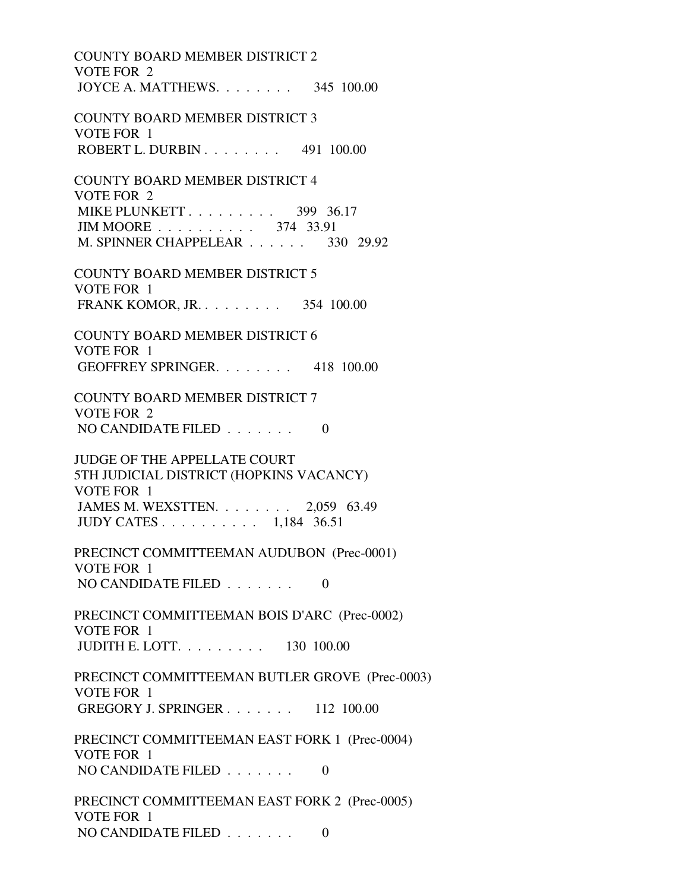COUNTY BOARD MEMBER DISTRICT 2 VOTE FOR 2 JOYCE A. MATTHEWS. . . . . . . . 345 100.00 COUNTY BOARD MEMBER DISTRICT 3 VOTE FOR 1 ROBERT L. DURBIN . . . . . . . . 491 100.00 COUNTY BOARD MEMBER DISTRICT 4 VOTE FOR 2 MIKE PLUNKETT . . . . . . . . . . 399 36.17 JIM MOORE . . . . . . . . . . 374 33.91 M. SPINNER CHAPPELEAR . . . . . . 330 29.92 COUNTY BOARD MEMBER DISTRICT 5 VOTE FOR 1 FRANK KOMOR, JR. . . . . . . . . 354 100.00 COUNTY BOARD MEMBER DISTRICT 6 VOTE FOR 1 GEOFFREY SPRINGER. . . . . . . . 418 100.00 COUNTY BOARD MEMBER DISTRICT 7 VOTE FOR 2 NO CANDIDATE FILED  $\ldots \ldots \ldots$  JUDGE OF THE APPELLATE COURT 5TH JUDICIAL DISTRICT (HOPKINS VACANCY) VOTE FOR 1 JAMES M. WEXSTTEN. . . . . . . . 2,059 63.49 JUDY CATES . . . . . . . . . . 1,184 36.51 PRECINCT COMMITTEEMAN AUDUBON (Prec-0001) VOTE FOR 1 NO CANDIDATE FILED  $\ldots \ldots \ldots$  PRECINCT COMMITTEEMAN BOIS D'ARC (Prec-0002) VOTE FOR 1 JUDITH E. LOTT. . . . . . . . . 130 100.00 PRECINCT COMMITTEEMAN BUTLER GROVE (Prec-0003) VOTE FOR 1 GREGORY J. SPRINGER . . . . . . . 112 100.00 PRECINCT COMMITTEEMAN EAST FORK 1 (Prec-0004) VOTE FOR 1 NO CANDIDATE FILED  $\ldots \ldots$  0 PRECINCT COMMITTEEMAN EAST FORK 2 (Prec-0005) VOTE FOR 1 NO CANDIDATE FILED . . . . . . . 0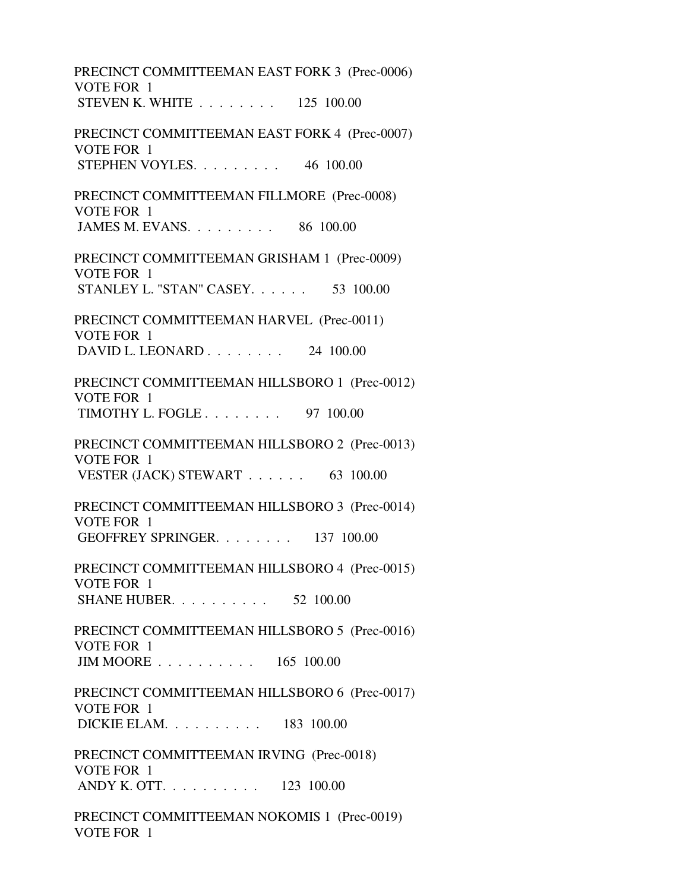PRECINCT COMMITTEEMAN EAST FORK 3 (Prec-0006) VOTE FOR 1 STEVEN K. WHITE . . . . . . . . 125 100.00 PRECINCT COMMITTEEMAN EAST FORK 4 (Prec-0007) VOTE FOR 1 STEPHEN VOYLES. . . . . . . . . 46 100.00 PRECINCT COMMITTEEMAN FILLMORE (Prec-0008) VOTE FOR 1 JAMES M. EVANS. . . . . . . . . 86 100.00 PRECINCT COMMITTEEMAN GRISHAM 1 (Prec-0009) VOTE FOR 1 STANLEY L. "STAN" CASEY. . . . . . 53 100.00 PRECINCT COMMITTEEMAN HARVEL (Prec-0011) VOTE FOR 1 DAVID L. LEONARD . . . . . . . . 24 100.00 PRECINCT COMMITTEEMAN HILLSBORO 1 (Prec-0012) VOTE FOR 1 TIMOTHY L. FOGLE . . . . . . . . 97 100.00 PRECINCT COMMITTEEMAN HILLSBORO 2 (Prec-0013) VOTE FOR 1 VESTER (JACK) STEWART . . . . . . 63 100.00 PRECINCT COMMITTEEMAN HILLSBORO 3 (Prec-0014) VOTE FOR 1 GEOFFREY SPRINGER. . . . . . . . 137 100.00 PRECINCT COMMITTEEMAN HILLSBORO 4 (Prec-0015) VOTE FOR 1 SHANE HUBER. . . . . . . . . . 52 100.00 PRECINCT COMMITTEEMAN HILLSBORO 5 (Prec-0016) VOTE FOR 1 JIM MOORE . . . . . . . . . . 165 100.00 PRECINCT COMMITTEEMAN HILLSBORO 6 (Prec-0017) VOTE FOR 1 DICKIE ELAM. . . . . . . . . . 183 100.00 PRECINCT COMMITTEEMAN IRVING (Prec-0018) VOTE FOR 1 ANDY K. OTT. . . . . . . . . . 123 100.00 PRECINCT COMMITTEEMAN NOKOMIS 1 (Prec-0019) VOTE FOR 1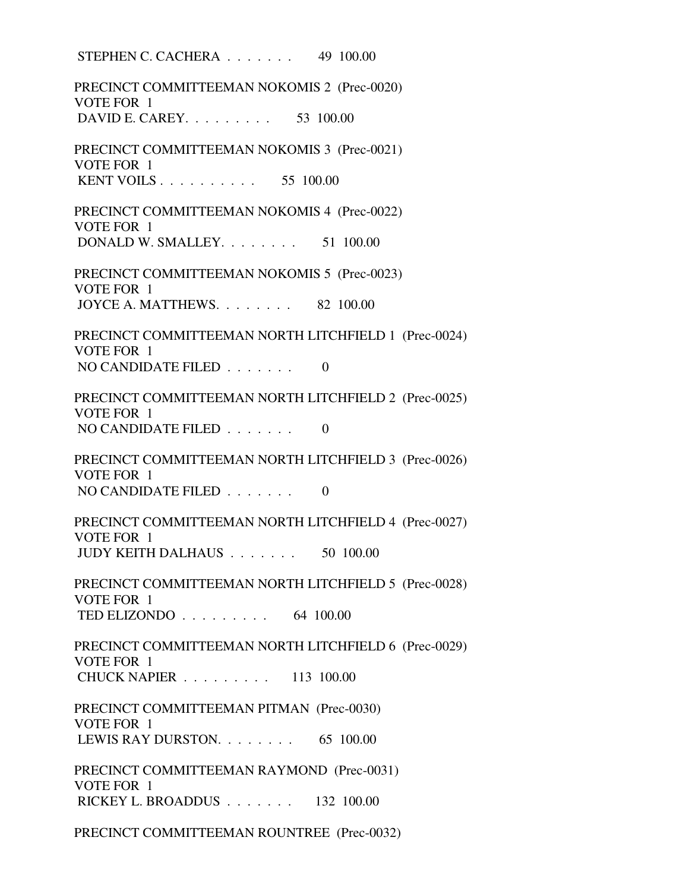STEPHEN C. CACHERA . . . . . . . 49 100.00 PRECINCT COMMITTEEMAN NOKOMIS 2 (Prec-0020) VOTE FOR 1 DAVID E. CAREY. . . . . . . . . 53 100.00 PRECINCT COMMITTEEMAN NOKOMIS 3 (Prec-0021) VOTE FOR 1 KENT VOILS . . . . . . . . . . 55 100.00 PRECINCT COMMITTEEMAN NOKOMIS 4 (Prec-0022) VOTE FOR 1 DONALD W. SMALLEY. . . . . . . . 51 100.00 PRECINCT COMMITTEEMAN NOKOMIS 5 (Prec-0023) VOTE FOR 1 JOYCE A. MATTHEWS. . . . . . . . 82 100.00 PRECINCT COMMITTEEMAN NORTH LITCHFIELD 1 (Prec-0024) VOTE FOR 1 NO CANDIDATE FILED  $\ldots \ldots$  0 PRECINCT COMMITTEEMAN NORTH LITCHFIELD 2 (Prec-0025) VOTE FOR 1 NO CANDIDATE FILED  $\ldots \ldots$  0 PRECINCT COMMITTEEMAN NORTH LITCHFIELD 3 (Prec-0026) VOTE FOR 1 NO CANDIDATE FILED  $\ldots \ldots$  0 PRECINCT COMMITTEEMAN NORTH LITCHFIELD 4 (Prec-0027) VOTE FOR 1 JUDY KEITH DALHAUS . . . . . . . 50 100.00 PRECINCT COMMITTEEMAN NORTH LITCHFIELD 5 (Prec-0028) VOTE FOR 1 TED ELIZONDO . . . . . . . . . 64 100.00 PRECINCT COMMITTEEMAN NORTH LITCHFIELD 6 (Prec-0029) VOTE FOR 1 CHUCK NAPIER . . . . . . . . . 113 100.00 PRECINCT COMMITTEEMAN PITMAN (Prec-0030) VOTE FOR 1 LEWIS RAY DURSTON. . . . . . . . 65 100.00 PRECINCT COMMITTEEMAN RAYMOND (Prec-0031) VOTE FOR 1 RICKEY L. BROADDUS . . . . . . . 132 100.00 PRECINCT COMMITTEEMAN ROUNTREE (Prec-0032)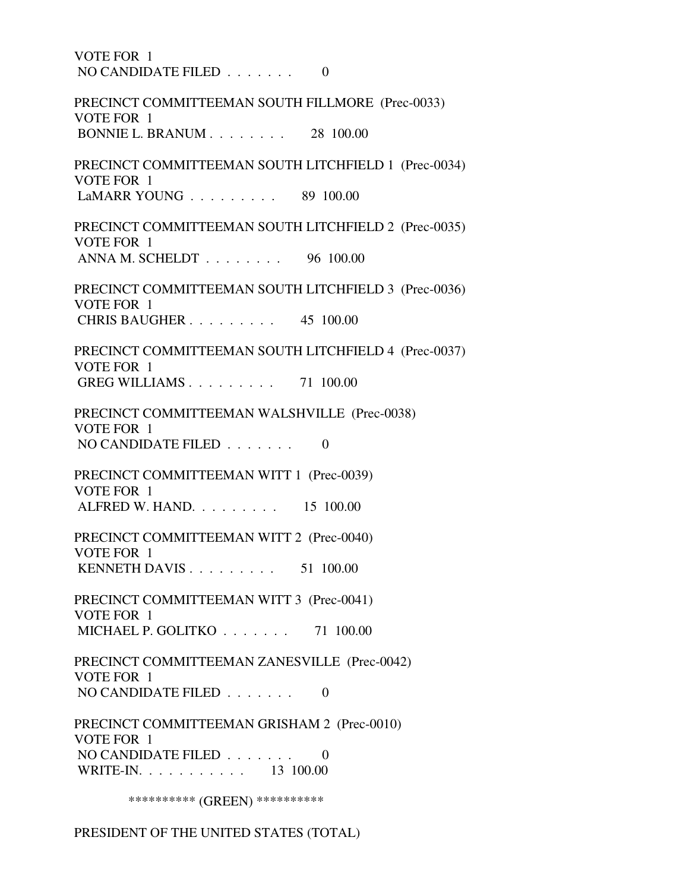VOTE FOR 1 NO CANDIDATE FILED  $\ldots$ , . . . . . 0 PRECINCT COMMITTEEMAN SOUTH FILLMORE (Prec-0033) VOTE FOR 1 BONNIE L. BRANUM . . . . . . . . 28 100.00 PRECINCT COMMITTEEMAN SOUTH LITCHFIELD 1 (Prec-0034) VOTE FOR 1 LaMARR YOUNG . . . . . . . . . 89 100.00 PRECINCT COMMITTEEMAN SOUTH LITCHFIELD 2 (Prec-0035) VOTE FOR 1 ANNA M. SCHELDT . . . . . . . . 96 100.00 PRECINCT COMMITTEEMAN SOUTH LITCHFIELD 3 (Prec-0036) VOTE FOR 1 CHRIS BAUGHER . . . . . . . . . 45 100.00 PRECINCT COMMITTEEMAN SOUTH LITCHFIELD 4 (Prec-0037) VOTE FOR 1 GREG WILLIAMS . . . . . . . . . 71 100.00 PRECINCT COMMITTEEMAN WALSHVILLE (Prec-0038) VOTE FOR 1 NO CANDIDATE FILED . . . . . . . 0 PRECINCT COMMITTEEMAN WITT 1 (Prec-0039) VOTE FOR 1 ALFRED W. HAND. . . . . . . . . 15 100.00 PRECINCT COMMITTEEMAN WITT 2 (Prec-0040) VOTE FOR 1 KENNETH DAVIS . . . . . . . . . 51 100.00 PRECINCT COMMITTEEMAN WITT 3 (Prec-0041) VOTE FOR 1 MICHAEL P. GOLITKO . . . . . . . 71 100.00 PRECINCT COMMITTEEMAN ZANESVILLE (Prec-0042) VOTE FOR 1 NO CANDIDATE FILED  $\ldots$ , . . . . 0 PRECINCT COMMITTEEMAN GRISHAM 2 (Prec-0010) VOTE FOR 1 NO CANDIDATE FILED . . . . . . . 0 WRITE-IN. . . . . . . . . . . 13 100.00 \*\*\*\*\*\*\*\*\*\*\* (GREEN) \*\*\*\*\*\*\*\*\*\*\*

PRESIDENT OF THE UNITED STATES (TOTAL)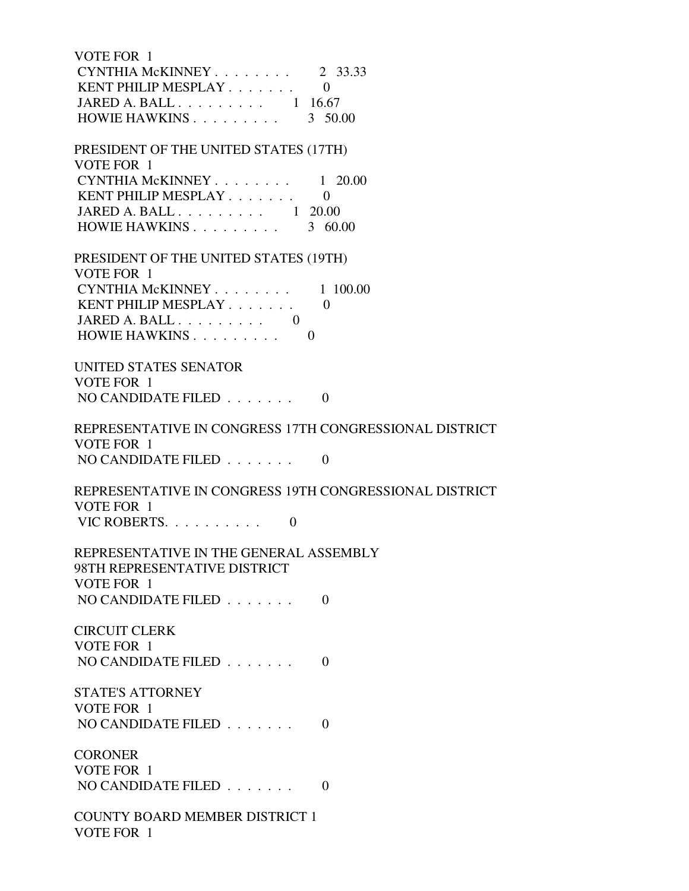| VOTE FOR 1<br>CYNTHIA McKINNEY<br>KENT PHILIP MESPLAY<br>JARED A. BALL $\ldots \ldots \ldots \ldots$ 1 16.67 | 2 33.33<br>$\theta$ |
|--------------------------------------------------------------------------------------------------------------|---------------------|
| HOWIE HAWKINS                                                                                                | 3 50.00             |
| PRESIDENT OF THE UNITED STATES (17TH)<br>VOTE FOR 1                                                          |                     |
| CYNTHIA McKINNEY                                                                                             | $1\quad 20.00$      |
| KENT PHILIP MESPLAY<br>JARED A. BALL $\ldots \ldots \ldots \ldots$ 1 20.00                                   | $\theta$            |
| HOWIE HAWKINS                                                                                                | 3 60.00             |
| PRESIDENT OF THE UNITED STATES (19TH)<br>VOTE FOR 1                                                          |                     |
| CYNTHIA McKINNEY                                                                                             | 1 100.00            |
| KENT PHILIP MESPLAY<br>JARED A. BALL $\ldots \ldots \ldots$ 0                                                | $\Omega$            |
| HOWIE HAWKINS<br>$\theta$                                                                                    |                     |
| <b>UNITED STATES SENATOR</b><br>VOTE FOR 1                                                                   |                     |
| NO CANDIDATE FILED                                                                                           | $\Omega$            |
| REPRESENTATIVE IN CONGRESS 17TH CONGRESSIONAL DISTRICT                                                       |                     |
| VOTE FOR 1<br>NO CANDIDATE FILED $\ldots \ldots$                                                             | $\overline{0}$      |
|                                                                                                              |                     |
| REPRESENTATIVE IN CONGRESS 19TH CONGRESSIONAL DISTRICT<br>VOTE FOR 1                                         |                     |
| VIC ROBERTS.<br>$\overline{0}$                                                                               |                     |
| REPRESENTATIVE IN THE GENERAL ASSEMBLY<br>98TH REPRESENTATIVE DISTRICT                                       |                     |
| VOTE FOR 1<br>NO CANDIDATE FILED $\ldots$                                                                    | $\Omega$            |
|                                                                                                              |                     |
| <b>CIRCUIT CLERK</b><br>VOTE FOR 1                                                                           |                     |
| NO CANDIDATE FILED                                                                                           | $\Omega$            |
| <b>STATE'S ATTORNEY</b>                                                                                      |                     |
| VOTE FOR 1                                                                                                   |                     |
| NO CANDIDATE FILED                                                                                           | $\Omega$            |
| <b>CORONER</b>                                                                                               |                     |
| VOTE FOR 1<br>NO CANDIDATE FILED                                                                             | $\theta$            |
|                                                                                                              |                     |
| <b>COUNTY BOARD MEMBER DISTRICT 1</b><br>VOTE FOR 1                                                          |                     |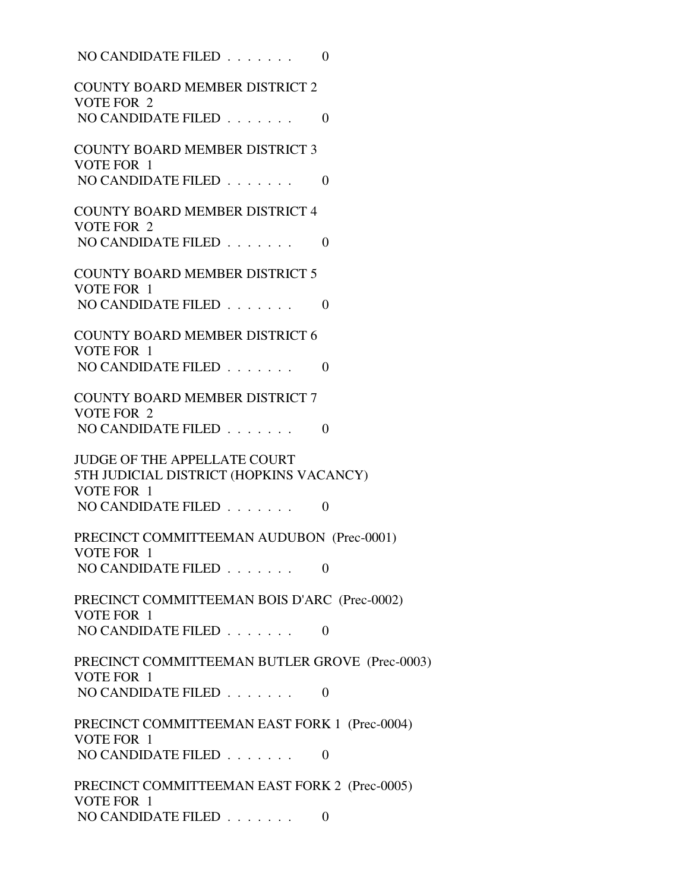| NO CANDIDATE FILED                                                             | $\overline{0}$ |
|--------------------------------------------------------------------------------|----------------|
| <b>COUNTY BOARD MEMBER DISTRICT 2</b><br>VOTE FOR 2                            |                |
| NO CANDIDATE FILED $\ldots$                                                    | $\overline{0}$ |
| <b>COUNTY BOARD MEMBER DISTRICT 3</b><br>VOTE FOR 1                            |                |
| NO CANDIDATE FILED                                                             | $\Omega$       |
| <b>COUNTY BOARD MEMBER DISTRICT 4</b><br><b>VOTE FOR 2</b>                     |                |
| NO CANDIDATE FILED                                                             | $\Omega$       |
| <b>COUNTY BOARD MEMBER DISTRICT 5</b><br>VOTE FOR 1                            |                |
| NO CANDIDATE FILED                                                             | $\Omega$       |
| <b>COUNTY BOARD MEMBER DISTRICT 6</b><br>VOTE FOR 1                            |                |
| NO CANDIDATE FILED                                                             | $\overline{0}$ |
| <b>COUNTY BOARD MEMBER DISTRICT 7</b><br><b>VOTE FOR 2</b>                     |                |
| NO CANDIDATE FILED                                                             | $\overline{0}$ |
| <b>JUDGE OF THE APPELLATE COURT</b><br>5TH JUDICIAL DISTRICT (HOPKINS VACANCY) |                |
| VOTE FOR 1<br>NO CANDIDATE FILED                                               | $\theta$       |
|                                                                                |                |
| PRECINCT COMMITTEEMAN AUDUBON (Prec-0001)<br>VOTE FOR 1                        |                |
| NO CANDIDATE FILED                                                             | $\theta$       |
| PRECINCT COMMITTEEMAN BOIS D'ARC (Prec-0002)                                   |                |
| VOTE FOR 1<br>NO CANDIDATE FILED                                               | $\theta$       |
| PRECINCT COMMITTEEMAN BUTLER GROVE (Prec-0003)<br>VOTE FOR 1                   |                |
| NO CANDIDATE FILED                                                             | $\overline{0}$ |
| PRECINCT COMMITTEEMAN EAST FORK 1 (Prec-0004)<br>VOTE FOR 1                    |                |
| NO CANDIDATE FILED                                                             | $\theta$       |
| PRECINCT COMMITTEEMAN EAST FORK 2 (Prec-0005)<br>VOTE FOR 1                    |                |
| NO CANDIDATE FILED                                                             | $\Omega$       |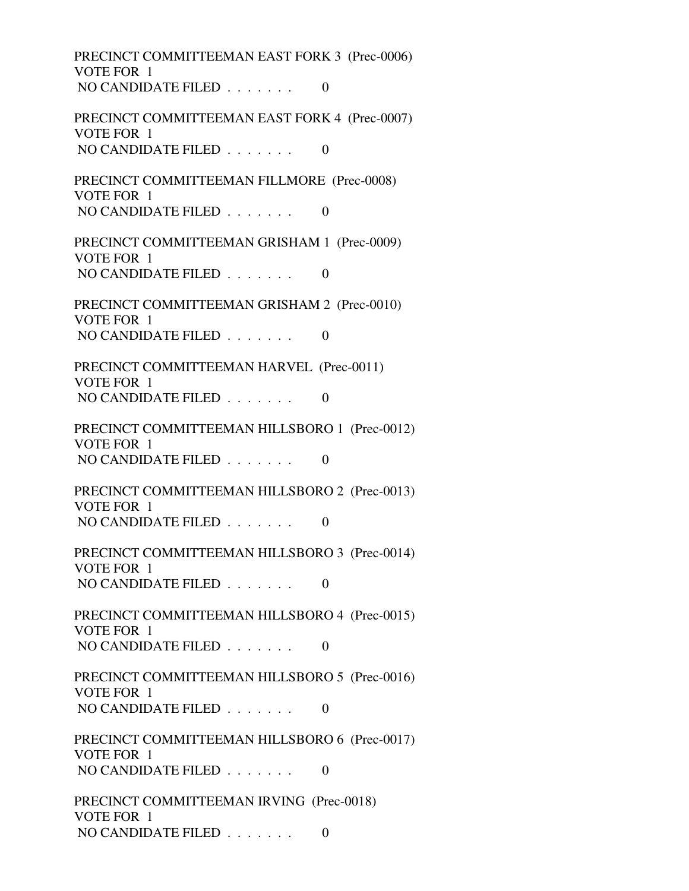PRECINCT COMMITTEEMAN EAST FORK 3 (Prec-0006) VOTE FOR 1 NO CANDIDATE FILED . . . . . . . 0 PRECINCT COMMITTEEMAN EAST FORK 4 (Prec-0007) VOTE FOR 1 NO CANDIDATE FILED  $\ldots$ , . . . . . 0 PRECINCT COMMITTEEMAN FILLMORE (Prec-0008) VOTE FOR 1 NO CANDIDATE FILED  $\ldots \ldots$  0 PRECINCT COMMITTEEMAN GRISHAM 1 (Prec-0009) VOTE FOR 1 NO CANDIDATE FILED  $\ldots \ldots$  0 PRECINCT COMMITTEEMAN GRISHAM 2 (Prec-0010) VOTE FOR 1 NO CANDIDATE FILED  $\ldots \ldots$  0 PRECINCT COMMITTEEMAN HARVEL (Prec-0011) VOTE FOR 1 NO CANDIDATE FILED  $\ldots \ldots$  0 PRECINCT COMMITTEEMAN HILLSBORO 1 (Prec-0012) VOTE FOR 1 NO CANDIDATE FILED  $\ldots$ , . . . . . 0 PRECINCT COMMITTEEMAN HILLSBORO 2 (Prec-0013) VOTE FOR 1 NO CANDIDATE FILED  $\ldots \ldots$  0 PRECINCT COMMITTEEMAN HILLSBORO 3 (Prec-0014) VOTE FOR 1 NO CANDIDATE FILED  $\ldots \ldots$  0 PRECINCT COMMITTEEMAN HILLSBORO 4 (Prec-0015) VOTE FOR 1 NO CANDIDATE FILED  $\ldots \ldots$  0 PRECINCT COMMITTEEMAN HILLSBORO 5 (Prec-0016) VOTE FOR 1 NO CANDIDATE FILED  $\ldots \ldots$  0 PRECINCT COMMITTEEMAN HILLSBORO 6 (Prec-0017) VOTE FOR 1 NO CANDIDATE FILED  $\ldots$ , . . . . . 0 PRECINCT COMMITTEEMAN IRVING (Prec-0018) VOTE FOR 1 NO CANDIDATE FILED  $\ldots \ldots$  0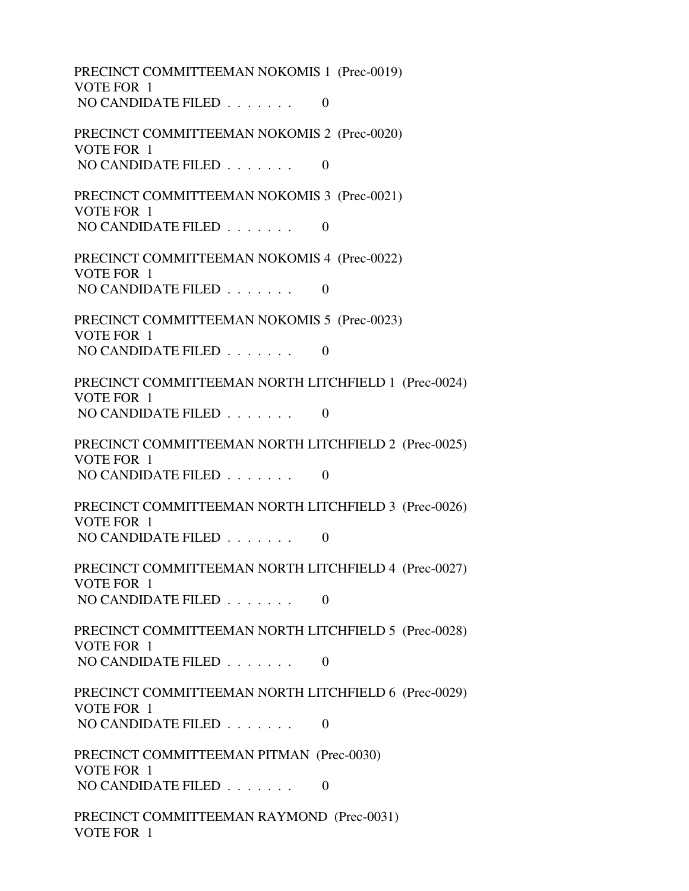PRECINCT COMMITTEEMAN NOKOMIS 1 (Prec-0019) VOTE FOR 1 NO CANDIDATE FILED  $\ldots \ldots$  0 PRECINCT COMMITTEEMAN NOKOMIS 2 (Prec-0020) VOTE FOR 1 NO CANDIDATE FILED . . . . . . . 0 PRECINCT COMMITTEEMAN NOKOMIS 3 (Prec-0021) VOTE FOR 1 NO CANDIDATE FILED  $\ldots \ldots$  0 PRECINCT COMMITTEEMAN NOKOMIS 4 (Prec-0022) VOTE FOR 1 NO CANDIDATE FILED  $\ldots \ldots$  0 PRECINCT COMMITTEEMAN NOKOMIS 5 (Prec-0023) VOTE FOR 1 NO CANDIDATE FILED  $\ldots \ldots \ldots$  0 PRECINCT COMMITTEEMAN NORTH LITCHFIELD 1 (Prec-0024) VOTE FOR 1 NO CANDIDATE FILED  $\ldots \ldots$  0 PRECINCT COMMITTEEMAN NORTH LITCHFIELD 2 (Prec-0025) VOTE FOR 1 NO CANDIDATE FILED  $\ldots \ldots$  0 PRECINCT COMMITTEEMAN NORTH LITCHFIELD 3 (Prec-0026) VOTE FOR 1 NO CANDIDATE FILED  $\ldots$ , . . . . 0 PRECINCT COMMITTEEMAN NORTH LITCHFIELD 4 (Prec-0027) VOTE FOR 1 NO CANDIDATE FILED  $\ldots \ldots$  0 PRECINCT COMMITTEEMAN NORTH LITCHFIELD 5 (Prec-0028) VOTE FOR 1 NO CANDIDATE FILED  $\ldots \ldots$  0 PRECINCT COMMITTEEMAN NORTH LITCHFIELD 6 (Prec-0029) VOTE FOR 1 NO CANDIDATE FILED . . . . . . . 0 PRECINCT COMMITTEEMAN PITMAN (Prec-0030) VOTE FOR 1 NO CANDIDATE FILED  $\ldots \ldots$  0 PRECINCT COMMITTEEMAN RAYMOND (Prec-0031) VOTE FOR 1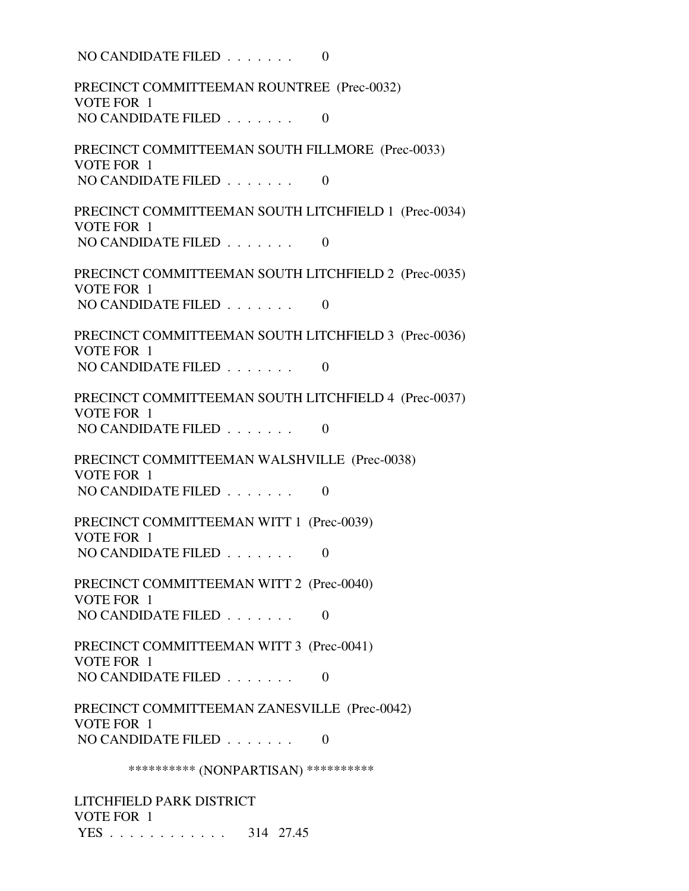NO CANDIDATE FILED  $\ldots \ldots$  0 PRECINCT COMMITTEEMAN ROUNTREE (Prec-0032) VOTE FOR 1 NO CANDIDATE FILED  $\ldots \ldots$  0 PRECINCT COMMITTEEMAN SOUTH FILLMORE (Prec-0033) VOTE FOR 1 NO CANDIDATE FILED . . . . . . . 0 PRECINCT COMMITTEEMAN SOUTH LITCHFIELD 1 (Prec-0034) VOTE FOR 1 NO CANDIDATE FILED  $\ldots \ldots$  0 PRECINCT COMMITTEEMAN SOUTH LITCHFIELD 2 (Prec-0035) VOTE FOR 1 NO CANDIDATE FILED  $\ldots$  . . . . . 0 PRECINCT COMMITTEEMAN SOUTH LITCHFIELD 3 (Prec-0036) VOTE FOR 1 NO CANDIDATE FILED  $\ldots \ldots \ldots$  0 PRECINCT COMMITTEEMAN SOUTH LITCHFIELD 4 (Prec-0037) VOTE FOR 1 NO CANDIDATE FILED  $\ldots \ldots$  0 PRECINCT COMMITTEEMAN WALSHVILLE (Prec-0038) VOTE FOR 1 NO CANDIDATE FILED . . . . . . . 0 PRECINCT COMMITTEEMAN WITT 1 (Prec-0039) VOTE FOR 1 NO CANDIDATE FILED  $\ldots \ldots$  0 PRECINCT COMMITTEEMAN WITT 2 (Prec-0040) VOTE FOR 1 NO CANDIDATE FILED . . . . . . . 0 PRECINCT COMMITTEEMAN WITT 3 (Prec-0041) VOTE FOR 1 NO CANDIDATE FILED  $\ldots \ldots$  0 PRECINCT COMMITTEEMAN ZANESVILLE (Prec-0042) VOTE FOR 1 NO CANDIDATE FILED  $\ldots \ldots$  0 \*\*\*\*\*\*\*\*\*\* (NONPARTISAN) \*\*\*\*\*\*\*\*\*\* LITCHFIELD PARK DISTRICT VOTE FOR 1

YES . . . . . . . . . . . . 314 27.45